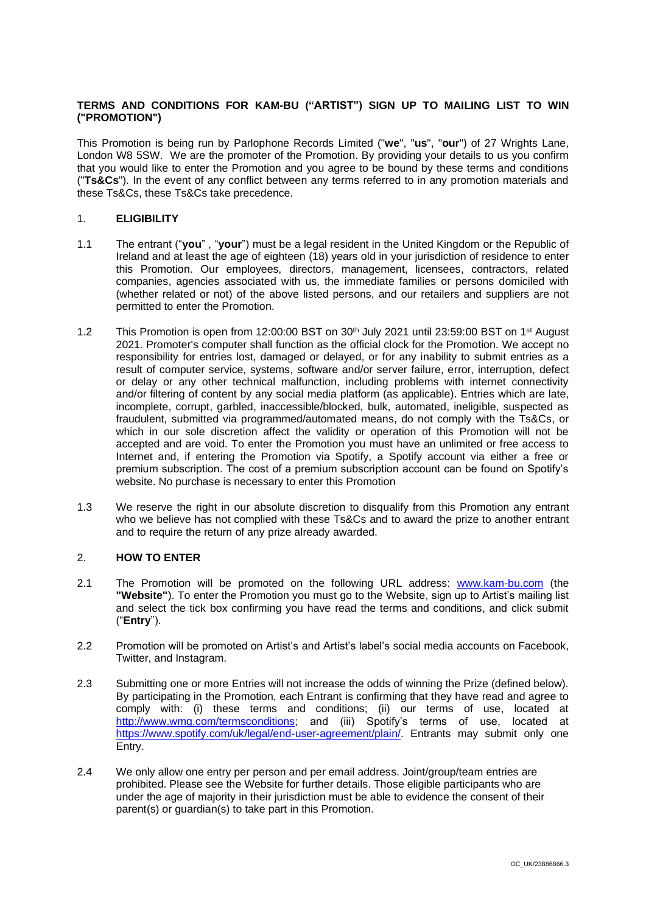# **TERMS AND CONDITIONS FOR KAM-BU ("ARTIST") SIGN UP TO MAILING LIST TO WIN ("PROMOTION")**

This Promotion is being run by Parlophone Records Limited ("**we**", "**us**", "**our**") of 27 Wrights Lane, London W8 5SW. We are the promoter of the Promotion. By providing your details to us you confirm that you would like to enter the Promotion and you agree to be bound by these terms and conditions ("**Ts&Cs**"). In the event of any conflict between any terms referred to in any promotion materials and these Ts&Cs, these Ts&Cs take precedence.

## 1. **ELIGIBILITY**

- 1.1 The entrant ("**you**" , "**your**") must be a legal resident in the United Kingdom or the Republic of Ireland and at least the age of eighteen (18) years old in your jurisdiction of residence to enter this Promotion. Our employees, directors, management, licensees, contractors, related companies, agencies associated with us, the immediate families or persons domiciled with (whether related or not) of the above listed persons, and our retailers and suppliers are not permitted to enter the Promotion.
- 1.2 This Promotion is open from 12:00:00 BST on  $30<sup>th</sup>$  July 2021 until 23:59:00 BST on 1<sup>st</sup> August 2021. Promoter's computer shall function as the official clock for the Promotion. We accept no responsibility for entries lost, damaged or delayed, or for any inability to submit entries as a result of computer service, systems, software and/or server failure, error, interruption, defect or delay or any other technical malfunction, including problems with internet connectivity and/or filtering of content by any social media platform (as applicable). Entries which are late, incomplete, corrupt, garbled, inaccessible/blocked, bulk, automated, ineligible, suspected as fraudulent, submitted via programmed/automated means, do not comply with the Ts&Cs, or which in our sole discretion affect the validity or operation of this Promotion will not be accepted and are void. To enter the Promotion you must have an unlimited or free access to Internet and, if entering the Promotion via Spotify, a Spotify account via either a free or premium subscription. The cost of a premium subscription account can be found on Spotify's website. No purchase is necessary to enter this Promotion
- 1.3 We reserve the right in our absolute discretion to disqualify from this Promotion any entrant who we believe has not complied with these Ts&Cs and to award the prize to another entrant and to require the return of any prize already awarded.

### 2. **HOW TO ENTER**

- 2.1 The Promotion will be promoted on the following URL address: [www.kam-bu.com](https://nam04.safelinks.protection.outlook.com/?url=http%3A%2F%2Fwww.kam-bu.com%2F&data=04%7C01%7CElaine.Crowther%40parlophonemusic.com%7Cb0a79029f75a4b01d03108d9527cb9a5%7C8367939002ec4ba1ad3d69da3fdd637e%7C0%7C0%7C637631517913467287%7CUnknown%7CTWFpbGZsb3d8eyJWIjoiMC4wLjAwMDAiLCJQIjoiV2luMzIiLCJBTiI6Ik1haWwiLCJXVCI6Mn0%3D%7C1000&sdata=%2FJaKAtW24ULKsAmVNbZyHpH3yyBa%2FUVpNKJvdMds9GU%3D&reserved=0) (the **"Website"**). To enter the Promotion you must go to the Website, sign up to Artist's mailing list and select the tick box confirming you have read the terms and conditions, and click submit ("**Entry**").
- 2.2 Promotion will be promoted on Artist's and Artist's label's social media accounts on Facebook, Twitter, and Instagram.
- 2.3 Submitting one or more Entries will not increase the odds of winning the Prize (defined below). By participating in the Promotion, each Entrant is confirming that they have read and agree to comply with: (i) these terms and conditions; (ii) our terms of use, located at [http://www.wmg.com/termsconditions;](http://www.wmg.com/termsconditions) and (iii) Spotify's terms of use, located at [https://www.spotify.com/uk/legal/end-user-agreement/plain/.](https://www.spotify.com/uk/legal/end-user-agreement/plain/) Entrants may submit only one Entry.
- 2.4 We only allow one entry per person and per email address. Joint/group/team entries are prohibited. Please see the Website for further details. Those eligible participants who are under the age of majority in their jurisdiction must be able to evidence the consent of their parent(s) or guardian(s) to take part in this Promotion.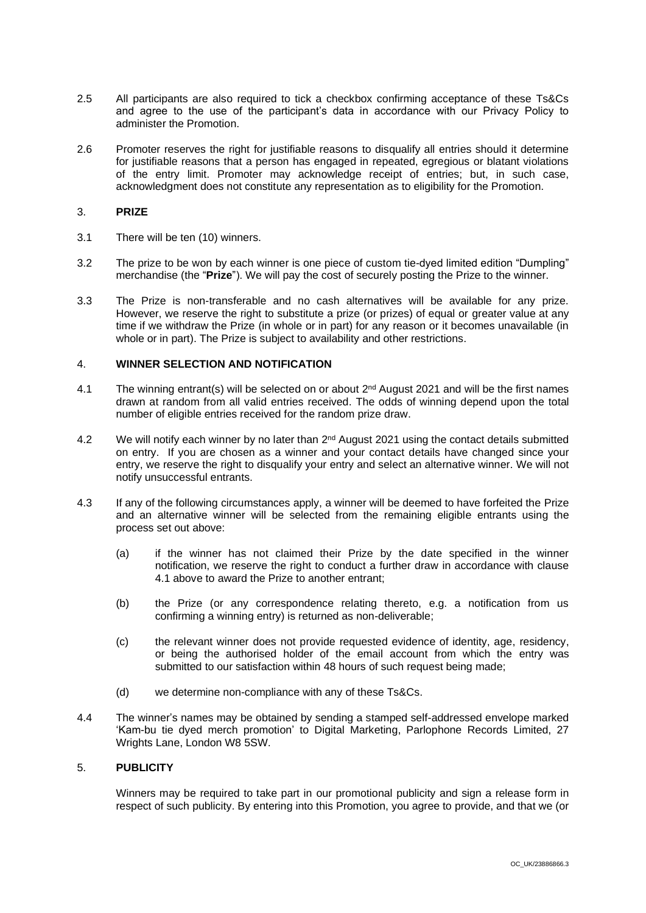- 2.5 All participants are also required to tick a checkbox confirming acceptance of these Ts&Cs and agree to the use of the participant's data in accordance with our Privacy Policy to administer the Promotion.
- 2.6 Promoter reserves the right for justifiable reasons to disqualify all entries should it determine for justifiable reasons that a person has engaged in repeated, egregious or blatant violations of the entry limit. Promoter may acknowledge receipt of entries; but, in such case, acknowledgment does not constitute any representation as to eligibility for the Promotion.

### 3. **PRIZE**

- 3.1 There will be ten (10) winners.
- 3.2 The prize to be won by each winner is one piece of custom tie-dyed limited edition "Dumpling" merchandise (the "**Prize**"). We will pay the cost of securely posting the Prize to the winner.
- 3.3 The Prize is non-transferable and no cash alternatives will be available for any prize. However, we reserve the right to substitute a prize (or prizes) of equal or greater value at any time if we withdraw the Prize (in whole or in part) for any reason or it becomes unavailable (in whole or in part). The Prize is subject to availability and other restrictions.

# 4. **WINNER SELECTION AND NOTIFICATION**

- <span id="page-1-0"></span>4.1 The winning entrant(s) will be selected on or about 2<sup>nd</sup> August 2021 and will be the first names drawn at random from all valid entries received. The odds of winning depend upon the total number of eligible entries received for the random prize draw.
- 4.2 We will notify each winner by no later than  $2^{nd}$  August 2021 using the contact details submitted on entry. If you are chosen as a winner and your contact details have changed since your entry, we reserve the right to disqualify your entry and select an alternative winner. We will not notify unsuccessful entrants.
- 4.3 If any of the following circumstances apply, a winner will be deemed to have forfeited the Prize and an alternative winner will be selected from the remaining eligible entrants using the process set out above:
	- (a) if the winner has not claimed their Prize by the date specified in the winner notification, we reserve the right to conduct a further draw in accordance with clause [4.1](#page-1-0) above to award the Prize to another entrant;
	- (b) the Prize (or any correspondence relating thereto, e.g. a notification from us confirming a winning entry) is returned as non-deliverable;
	- (c) the relevant winner does not provide requested evidence of identity, age, residency, or being the authorised holder of the email account from which the entry was submitted to our satisfaction within 48 hours of such request being made:
	- (d) we determine non-compliance with any of these Ts&Cs.
- 4.4 The winner's names may be obtained by sending a stamped self-addressed envelope marked 'Kam-bu tie dyed merch promotion' to Digital Marketing, Parlophone Records Limited, 27 Wrights Lane, London W8 5SW.

## 5. **PUBLICITY**

Winners may be required to take part in our promotional publicity and sign a release form in respect of such publicity. By entering into this Promotion, you agree to provide, and that we (or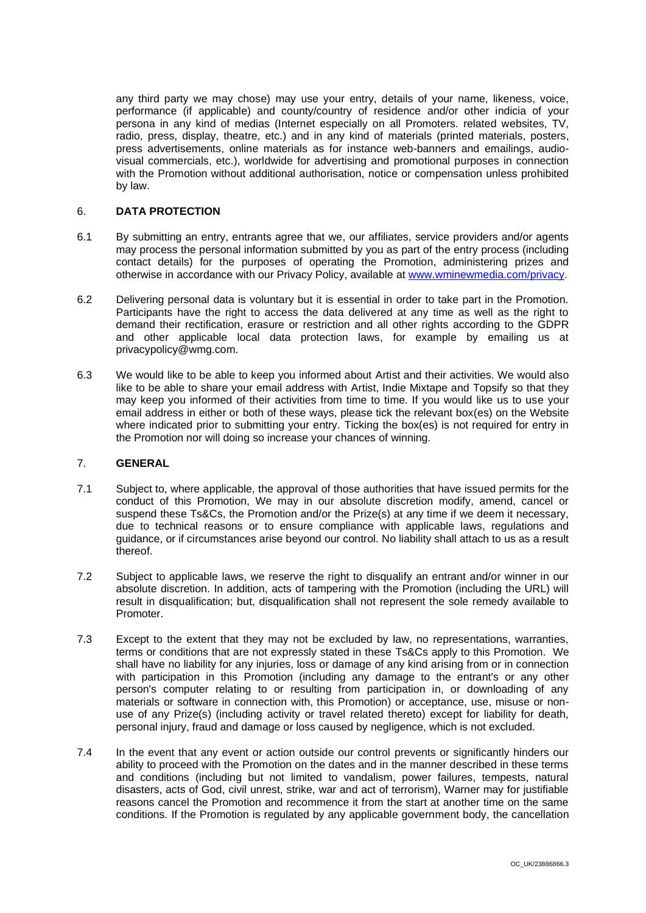any third party we may chose) may use your entry, details of your name, likeness, voice, performance (if applicable) and county/country of residence and/or other indicia of your persona in any kind of medias (Internet especially on all Promoters. related websites, TV, radio, press, display, theatre, etc.) and in any kind of materials (printed materials, posters, press advertisements, online materials as for instance web-banners and emailings, audiovisual commercials, etc.), worldwide for advertising and promotional purposes in connection with the Promotion without additional authorisation, notice or compensation unless prohibited by law.

### 6. **DATA PROTECTION**

- 6.1 By submitting an entry, entrants agree that we, our affiliates, service providers and/or agents may process the personal information submitted by you as part of the entry process (including contact details) for the purposes of operating the Promotion, administering prizes and otherwise in accordance with our Privacy Policy, available at [www.wminewmedia.com/privacy.](http://www.wminewmedia.com/privacy)
- 6.2 Delivering personal data is voluntary but it is essential in order to take part in the Promotion. Participants have the right to access the data delivered at any time as well as the right to demand their rectification, erasure or restriction and all other rights according to the GDPR and other applicable local data protection laws, for example by emailing us at privacypolicy@wmg.com.
- 6.3 We would like to be able to keep you informed about Artist and their activities. We would also like to be able to share your email address with Artist, Indie Mixtape and Topsify so that they may keep you informed of their activities from time to time. If you would like us to use your email address in either or both of these ways, please tick the relevant box(es) on the Website where indicated prior to submitting your entry. Ticking the box(es) is not required for entry in the Promotion nor will doing so increase your chances of winning.

### 7. **GENERAL**

- 7.1 Subject to, where applicable, the approval of those authorities that have issued permits for the conduct of this Promotion, We may in our absolute discretion modify, amend, cancel or suspend these Ts&Cs, the Promotion and/or the Prize(s) at any time if we deem it necessary, due to technical reasons or to ensure compliance with applicable laws, regulations and guidance, or if circumstances arise beyond our control. No liability shall attach to us as a result thereof.
- 7.2 Subject to applicable laws, we reserve the right to disqualify an entrant and/or winner in our absolute discretion. In addition, acts of tampering with the Promotion (including the URL) will result in disqualification; but, disqualification shall not represent the sole remedy available to Promoter.
- 7.3 Except to the extent that they may not be excluded by law, no representations, warranties, terms or conditions that are not expressly stated in these Ts&Cs apply to this Promotion. We shall have no liability for any injuries, loss or damage of any kind arising from or in connection with participation in this Promotion (including any damage to the entrant's or any other person's computer relating to or resulting from participation in, or downloading of any materials or software in connection with, this Promotion) or acceptance, use, misuse or nonuse of any Prize(s) (including activity or travel related thereto) except for liability for death, personal injury, fraud and damage or loss caused by negligence, which is not excluded.
- 7.4 In the event that any event or action outside our control prevents or significantly hinders our ability to proceed with the Promotion on the dates and in the manner described in these terms and conditions (including but not limited to vandalism, power failures, tempests, natural disasters, acts of God, civil unrest, strike, war and act of terrorism), Warner may for justifiable reasons cancel the Promotion and recommence it from the start at another time on the same conditions. If the Promotion is regulated by any applicable government body, the cancellation